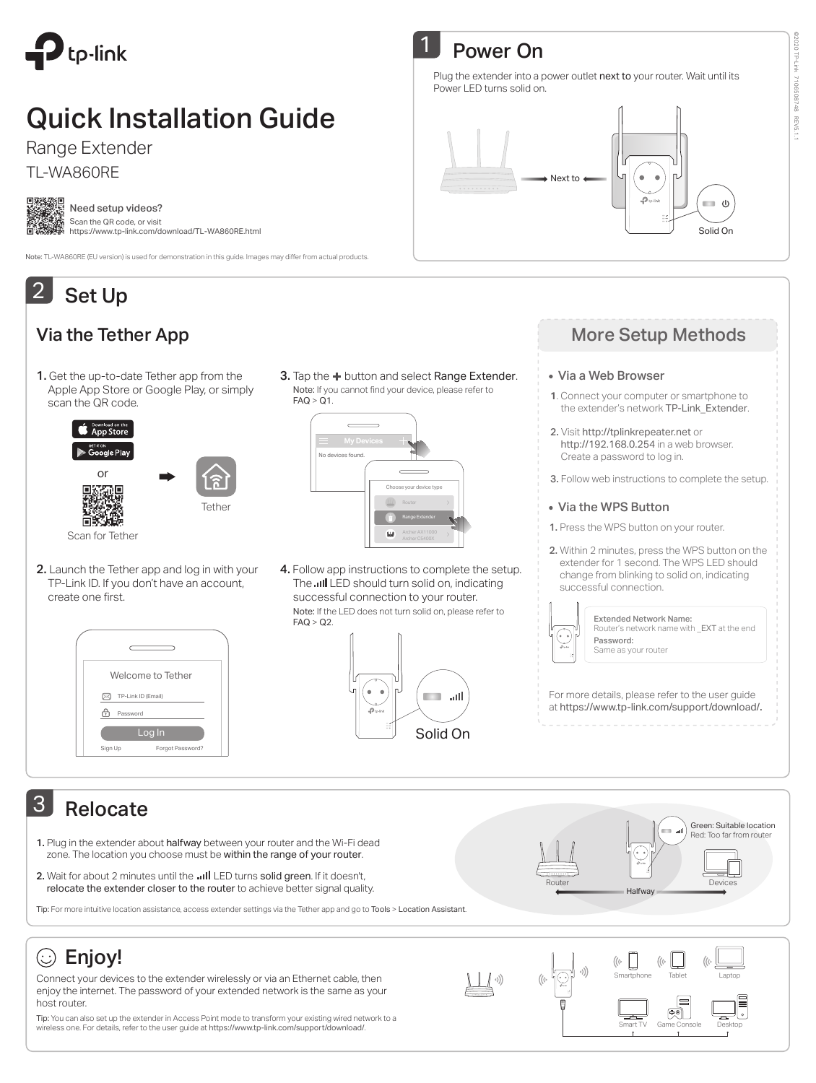

# Quick Installation Guide

Range Extender

TL-WA860RE

| e | œ |  |
|---|---|--|
|   |   |  |
|   |   |  |
|   |   |  |
|   |   |  |
|   |   |  |

Need setup videos? Scan the QR code, or visit https://www.tp-link.com/download/TL-WA860RE.html

Note: TL-WA860RE (EU version) is used for demonstration in this guide. Images may differ from actual products.

### Set Up 2

### Via the Tether App

1. Get the up-to-date Tether app from the Apple App Store or Google Play, or simply scan the QR code.



Note: If you cannot find your device, please refer to  $FAQ > Q1$ . 3. Tap the  $+$  button and select Range Extender.



2. Launch the Tether app and log in with your TP-Link ID. If you don't have an account, create one first.



Note: If the LED does not turn solid on, please refer to  $FAO > O2$ 4. Follow app instructions to complete the setup. The **III** LED should turn solid on, indicating successful connection to your router.



# **Power On**

Plug the extender into a power outlet next to your router. Wait until its Power LED turns solid on.



### More Setup Methods

#### Via a Web Browser

- **1**. Connect your computer or smartphone to the extender's network TP-Link\_Extender.
- 2. Visit http://tplinkrepeater.net or http://192.168.0.254 in a web browser. Create a password to log in.
- 3. Follow web instructions to complete the setup.

### Via the WPS Button

- 1. Press the WPS button on your router.
- 2. Within 2 minutes, press the WPS button on the extender for 1 second. The WPS LED should change from blinking to solid on, indicating successful connection.



Extended Network Name: Router's network name with \_EXT at the end Password: Same as your router

For more details, please refer to the user guide at https://www.tp-link.com/support/download/.

## 3 Relocate

- 1. Plug in the extender about halfway between your router and the Wi-Fi dead zone. The location you choose must be within the range of your router.
- 2. Wait for about 2 minutes until the ... Il LED turns solid green. If it doesn't, relocate the extender closer to the router to achieve better signal quality.



# $\circledcirc$  Enjoy!

Connect your devices to the extender wirelessly or via an Ethernet cable, then enjoy the internet. The password of your extended network is the same as your host router.

Tip: You can also set up the extender in Access Point mode to transform your existing wired network to a wireless one. For details, refer to the user guide at https://www.tp-link.com/support/download/.



Smartphone lablet Laptop

Smart IV Game Console Desktop

 $\boxed{\Phi$